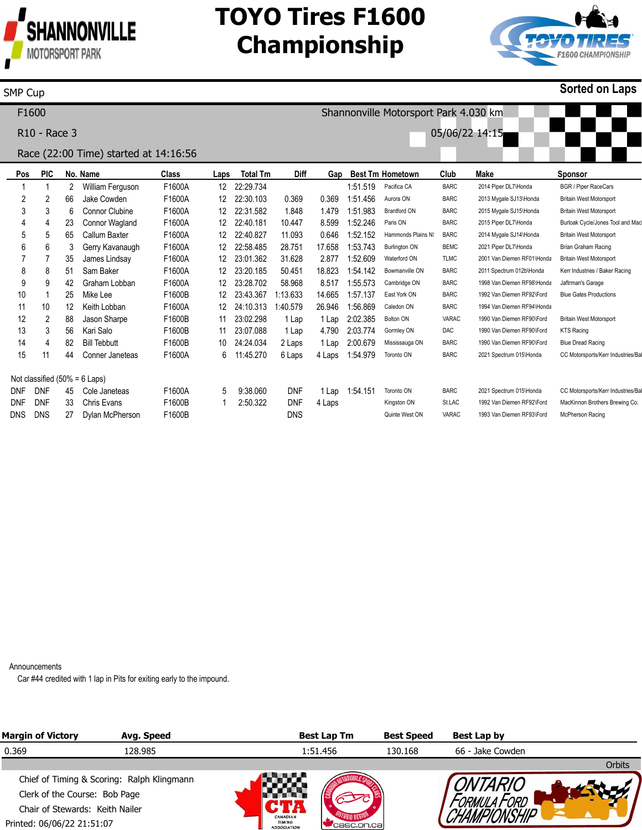

## **TOYO Tires F1600 Championship**



#### SMP Cup

**Sorted on Laps**

| F <sub>1600</sub> |            |                                       |                   |                                  |        |                   |                 |             |        | Shannonville Motorsport Park 4.030 km |                         |             |                            |                                   |  |  |  |
|-------------------|------------|---------------------------------------|-------------------|----------------------------------|--------|-------------------|-----------------|-------------|--------|---------------------------------------|-------------------------|-------------|----------------------------|-----------------------------------|--|--|--|
|                   |            | R <sub>10</sub> - Race 3              |                   |                                  |        |                   | 05/06/22 14:15  |             |        |                                       |                         |             |                            |                                   |  |  |  |
|                   |            | Race (22:00 Time) started at 14:16:56 |                   |                                  |        |                   |                 |             |        |                                       |                         |             |                            |                                   |  |  |  |
|                   | Pos        | <b>PIC</b>                            |                   | No. Name                         | Class  | Laps              | <b>Total Tm</b> | <b>Diff</b> | Gap    |                                       | <b>Best Tm Hometown</b> | Club        | Make                       | <b>Sponsor</b>                    |  |  |  |
|                   |            |                                       | 2                 | William Ferguson                 | F1600A | $12 \overline{ }$ | 22:29.734       |             |        | 1:51.519                              | Pacifica CA             | <b>BARC</b> | 2014 Piper DL7\Honda       | <b>BGR / Piper RaceCars</b>       |  |  |  |
|                   | 2          | 2                                     | 66                | Jake Cowden                      | F1600A | 12                | 22:30.103       | 0.369       | 0.369  | 1:51.456                              | Aurora ON               | <b>BARC</b> | 2013 Mygale SJ13\Honda     | <b>Britain West Motorsport</b>    |  |  |  |
|                   | 3          | 3                                     | 6                 | <b>Connor Clubine</b>            | F1600A | 12                | 22:31.582       | 1.848       | 1.479  | 1:51.983                              | <b>Brantford ON</b>     | <b>BARC</b> | 2015 Mygale SJ15\Honda     | <b>Britain West Motorsport</b>    |  |  |  |
|                   | 4          | 4                                     | 23                | Connor Wagland                   | F1600A | $12 \overline{ }$ | 22:40.181       | 10.447      | 8.599  | 1:52.246                              | Paris ON                | <b>BARC</b> | 2015 Piper DL7\Honda       | Burloak Cycle/Jones Tool and Mac  |  |  |  |
|                   | 5          | 5                                     | 65                | Callum Baxter                    | F1600A | 12                | 22:40.827       | 11.093      | 0.646  | 1:52.152                              | Hammonds Plains N:      | <b>BARC</b> | 2014 Mygale SJ14\Honda     | <b>Britain West Motorsport</b>    |  |  |  |
|                   | 6          | 6                                     | 3                 | Gerry Kavanaugh                  | F1600A | 12                | 22:58.485       | 28.751      | 17.658 | 1:53.743                              | <b>Burlington ON</b>    | <b>BEMC</b> | 2021 Piper DL7\Honda       | Brian Graham Racing               |  |  |  |
|                   |            |                                       | 35                | James Lindsay                    | F1600A | 12                | 23:01.362       | 31.628      | 2.877  | 1:52.609                              | Waterford ON            | <b>TLMC</b> | 2001 Van Diemen RF01\Honda | <b>Britain West Motorsport</b>    |  |  |  |
|                   | 8          | 8                                     | 51                | Sam Baker                        | F1600A | 12                | 23:20.185       | 50.451      | 18.823 | 1:54.142                              | Bowmanville ON          | <b>BARC</b> | 2011 Spectrum 012b\Honda   | Kerr Industries / Baker Racing    |  |  |  |
|                   | 9          | 9                                     | 42                | Graham Lobban                    | F1600A | 12                | 23:28.702       | 58.968      | 8.517  | 1:55.573                              | Cambridge ON            | <b>BARC</b> | 1998 Van Diemen RF98\Honda | Jaftrman's Garage                 |  |  |  |
|                   | 10         |                                       | 25                | Mike Lee                         | F1600B | $12 \overline{ }$ | 23:43.367       | 1:13.633    | 14.665 | 1:57.137                              | East York ON            | <b>BARC</b> | 1992 Van Diemen RF92\Ford  | <b>Blue Gates Productions</b>     |  |  |  |
|                   | 11         | 10                                    | $12 \overline{ }$ | Keith Lobban                     | F1600A | 12                | 24:10.313       | 1:40.579    | 26.946 | 1:56.869                              | Caledon ON              | <b>BARC</b> | 1994 Van Diemen RF94\Honda |                                   |  |  |  |
|                   | 12         | 2                                     | 88                | Jason Sharpe                     | F1600B | 11                | 23:02.298       | 1 Lap       | 1 Lap  | 2:02.385                              | Bolton ON               | VARAC       | 1990 Van Diemen RF90\Ford  | <b>Britain West Motorsport</b>    |  |  |  |
|                   | 13         | 3                                     | 56                | Kari Salo                        | F1600B | 11                | 23:07.088       | 1 Lap       | 4.790  | 2:03.774                              | Gormley ON              | DAC         | 1990 Van Diemen RF90\Ford  | <b>KTS Racing</b>                 |  |  |  |
|                   | 14         | 4                                     | 82                | <b>Bill Tebbutt</b>              | F1600B | 10                | 24:24.034       | 2 Laps      | 1 Lap  | 2:00.679                              | Mississauga ON          | <b>BARC</b> | 1990 Van Diemen RF90\Ford  | <b>Blue Dread Racing</b>          |  |  |  |
|                   | 15         | 11                                    | 44                | Conner Janeteas                  | F1600A | 6                 | 11:45.270       | 6 Laps      | 4 Laps | 1:54.979                              | Toronto ON              | <b>BARC</b> | 2021 Spectrum 015\Honda    | CC Motorsports/Kerr Industries/Ba |  |  |  |
|                   |            |                                       |                   | Not classified $(50\% = 6$ Laps) |        |                   |                 |             |        |                                       |                         |             |                            |                                   |  |  |  |
|                   | <b>DNF</b> | <b>DNF</b>                            | 45                | Cole Janeteas                    | F1600A | 5                 | 9:38.060        | <b>DNF</b>  | 1 Lap  | 1:54.151                              | Toronto ON              | <b>BARC</b> | 2021 Spectrum 015\Honda    | CC Motorsports/Kerr Industries/Ba |  |  |  |
|                   | <b>DNF</b> | <b>DNF</b>                            | 33                | <b>Chris Evans</b>               | F1600B |                   | 2:50.322        | <b>DNF</b>  | 4 Laps |                                       | Kingston ON             | St.LAC      | 1992 Van Diemen RF92\Ford  | MacKinnon Brothers Brewing Co.    |  |  |  |
|                   | <b>DNS</b> | <b>DNS</b>                            | 27                | Dylan McPherson                  | F1600B |                   |                 | DNS         |        |                                       | Quinte West ON          | VARAC       | 1993 Van Diemen RF93\Ford  | McPherson Racing                  |  |  |  |

Announcements

Car #44 credited with 1 lap in Pits for exiting early to the impound.

| <b>Margin of Victory</b>                   | Avg. Speed |                                                        | <b>Best Lap Tm</b> | <b>Best Speed</b> | Best Lap by      |        |
|--------------------------------------------|------------|--------------------------------------------------------|--------------------|-------------------|------------------|--------|
| 0.369                                      | 128.985    |                                                        | 1:51.456           | 130.168           | 66 - Jake Cowden |        |
|                                            |            |                                                        |                    |                   |                  | Orbits |
| Chief of Timing & Scoring: Ralph Klingmann |            |                                                        |                    |                   |                  |        |
| Clerk of the Course: Bob Page              |            |                                                        |                    |                   |                  |        |
| Chair of Stewards: Keith Nailer            |            |                                                        |                    |                   |                  |        |
| Printed: 06/06/22 21:51:07                 |            | <b>CANADIAN</b><br><b>TIMING</b><br><b>ASSOCIATION</b> | Casc.on.cal        |                   |                  |        |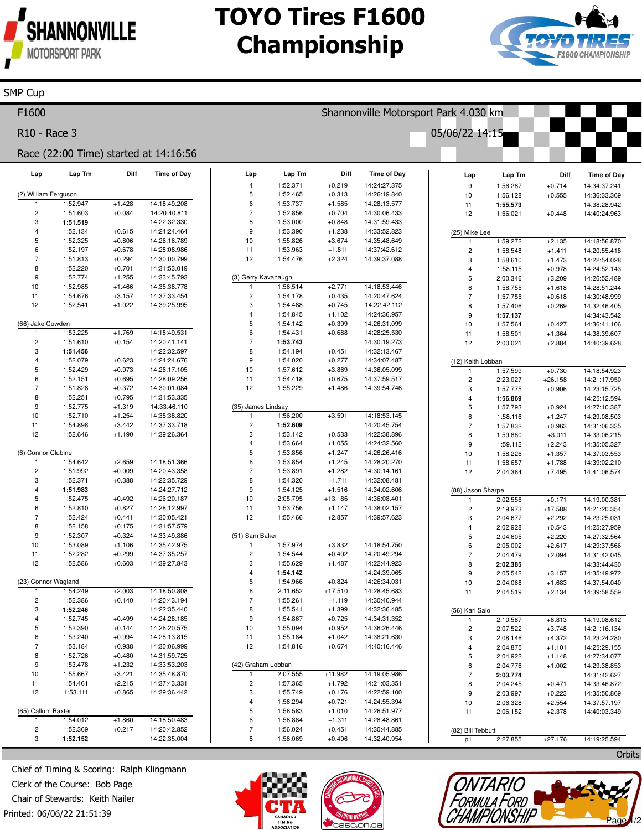

SMP Cup

## **TOYO Tires F1600 Championship**



 $\mathcal{N}$  where  $\mathcal{N}$ 

Page 1/2

TONTARIO<br>FORMULA FORD<br>CHAMPIONSHIP

| F1600                        |          |          |                                       |                                |                      |                      | Shannonville Motorsport Park 4.030 km |                         |                      |                      |                              |
|------------------------------|----------|----------|---------------------------------------|--------------------------------|----------------------|----------------------|---------------------------------------|-------------------------|----------------------|----------------------|------------------------------|
| R10 - Race 3                 |          |          |                                       |                                |                      |                      |                                       | 05/06/22 14:15          |                      |                      |                              |
|                              |          |          | Race (22:00 Time) started at 14:16:56 |                                |                      |                      |                                       |                         |                      |                      |                              |
| Lap                          | Lap Tm   | Diff     | <b>Time of Day</b>                    | Lap<br>$\overline{\mathbf{4}}$ | Lap Tm<br>1:52.371   | Diff<br>$+0.219$     | <b>Time of Day</b><br>14:24:27.375    | Lap                     | Lap Tm               | Diff                 | <b>Time of Day</b>           |
| (2) William Ferguson         |          |          |                                       | 5                              | 1:52.465             | $+0.313$             | 14:26:19.840                          | $\boldsymbol{9}$        | 1:56.287             | $+0.714$<br>$+0.555$ | 14:34:37.241                 |
| $\mathbf{1}$                 | 1:52.947 | $+1.428$ | 14:18:49.208                          | 6                              | 1:53.737             | $+1.585$             | 14:28:13.577                          | 10<br>11                | 1:56.128<br>1:55.573 |                      | 14:36:33.369<br>14:38:28.942 |
| $\overline{\mathbf{c}}$      | 1:51.603 | $+0.084$ | 14:20:40.811                          | $\overline{7}$                 | 1:52.856             | $+0.704$             | 14:30:06.433                          | 12                      | 1:56.021             | $+0.448$             | 14:40:24.963                 |
| 3                            | 1:51.519 |          | 14:22:32.330                          | 8                              | 1:53.000             | $+0.848$             | 14:31:59.433                          |                         |                      |                      |                              |
| $\overline{4}$               | 1:52.134 | $+0.615$ | 14:24:24.464                          | 9                              | 1:53.390             | $+1.238$             | 14:33:52.823                          | (25) Mike Lee           |                      |                      |                              |
| 5                            | 1:52.325 | $+0.806$ | 14:26:16.789                          | 10                             | 1:55.826             | $+3.674$             | 14:35:48.649                          | $\overline{1}$          | 1:59.272             | $+2.135$             | 14:18:56.870                 |
| 6                            | 1:52.197 | $+0.678$ | 14:28:08.986                          | 11                             | 1:53.963             | $+1.811$             | 14:37:42.612                          | $\overline{c}$          | 1:58.548             | $+1.411$             | 14:20:55.418                 |
| $\overline{7}$               | 1:51.813 | $+0.294$ | 14:30:00.799                          | 12                             | 1:54.476             | $+2.324$             | 14:39:37.088                          | 3                       | 1:58.610             | $+1.473$             | 14:22:54.028                 |
| 8                            | 1:52.220 | $+0.701$ | 14:31:53.019                          |                                |                      |                      |                                       | 4                       | 1:58.115             | $+0.978$             | 14:24:52.143                 |
| 9                            | 1:52.774 | $+1.255$ | 14:33:45.793                          | (3) Gerry Kavanaugh            |                      |                      |                                       | 5                       | 2:00.346             | $+3.209$             | 14:26:52.489                 |
| 10                           | 1:52.985 | $+1.466$ | 14:35:38.778                          | $\mathbf{1}$                   | 1:56.514             | $+2.771$             | 14:18:53.446                          | 6                       | 1:58.755             | $+1.618$             | 14:28:51.244                 |
| 11                           | 1:54.676 | $+3.157$ | 14:37:33.454                          | $\overline{c}$                 | 1:54.178             | $+0.435$             | 14:20:47.624                          | $\overline{7}$          | 1:57.755             | $+0.618$             | 14:30:48.999                 |
| 12                           | 1:52.541 | $+1.022$ | 14:39:25.995                          | 3                              | 1:54.488             | $+0.745$             | 14:22:42.112                          | 8                       | 1:57.406             | $+0.269$             | 14:32:46.405                 |
|                              |          |          |                                       | $\overline{4}$                 | 1:54.845             | $+1.102$             | 14:24:36.957                          | 9                       | 1:57.137             |                      | 14:34:43.542                 |
| (66) Jake Cowden             |          |          |                                       | 5                              | 1:54.142             | $+0.399$             | 14:26:31.099                          | 10                      | 1:57.564             | $+0.427$             | 14:36:41.106                 |
|                              | 1:53.225 | $+1.769$ | 14:18:49.531                          | 6                              | 1:54.431             | $+0.688$             | 14:28:25.530                          | 11                      | 1:58.501             | $+1.364$             | 14:38:39.607                 |
| $\overline{\mathbf{c}}$      | 1:51.610 | $+0.154$ | 14:20:41.141                          | $\overline{7}$                 | 1:53.743             |                      | 14:30:19.273                          | 12                      | 2:00.021             | $+2.884$             | 14:40:39.628                 |
| 3                            | 1:51.456 |          | 14:22:32.597                          | 8                              | 1:54.194             | $+0.451$             | 14:32:13.467                          |                         |                      |                      |                              |
| $\overline{4}$               | 1:52.079 | $+0.623$ | 14:24:24.676                          | 9                              | 1:54.020             | $+0.277$             | 14:34:07.487                          |                         | (12) Keith Lobban    |                      |                              |
| $\sqrt{5}$                   | 1:52.429 | $+0.973$ | 14:26:17.105                          | 10                             | 1:57.612             | $+3.869$             | 14:36:05.099                          |                         | 1:57.599             | $+0.730$             | 14:18:54.923                 |
| 6                            | 1:52.151 | $+0.695$ | 14:28:09.256                          | 11                             | 1:54.418             | $+0.675$             | 14:37:59.517                          | $\overline{c}$          | 2:23.027             | $+26.158$            | 14:21:17.950                 |
| $\overline{7}$               | 1:51.828 | $+0.372$ | 14:30:01.084                          | 12                             | 1:55.229             | $+1.486$             | 14:39:54.746                          | 3                       | 1:57.775             | $+0.906$             | 14:23:15.725                 |
| 8                            | 1:52.251 | $+0.795$ | 14:31:53.335                          |                                |                      |                      |                                       | $\overline{4}$          | 1:56.869             |                      | 14:25:12.594                 |
| 9                            | 1:52.775 | $+1.319$ | 14:33:46.110                          | (35) James Lindsay             |                      |                      |                                       | 5                       | 1:57.793             | $+0.924$             | 14:27:10.387                 |
| 10                           | 1:52.710 | $+1.254$ | 14:35:38.820                          | 1                              | 1:56.200             | $+3.591$             | 14:18:53.145                          | 6                       | 1:58.116             | $+1.247$             | 14:29:08.503                 |
| 11                           | 1:54.898 | $+3.442$ | 14:37:33.718                          | $\overline{\mathbf{c}}$        | 1:52.609             |                      | 14:20:45.754                          | $\overline{7}$          | 1:57.832             | $+0.963$             | 14:31:06.335                 |
| 12                           | 1:52.646 | $+1.190$ | 14:39:26.364                          | 3                              | 1:53.142             | $+0.533$             | 14:22:38.896                          | 8                       | 1:59.880             | $+3.011$             | 14:33:06.215                 |
|                              |          |          |                                       | $\overline{4}$                 | 1:53.664             | $+1.055$             | 14:24:32.560                          | 9                       | 1:59.112             | $+2.243$             | 14:35:05.327                 |
| (6) Connor Clubine           |          |          |                                       | 5                              | 1:53.856             | $+1.247$             | 14:26:26.416                          | 10                      | 1:58.226             | $+1.357$             | 14:37:03.553                 |
| $\mathbf{1}$                 | 1:54.642 | $+2.659$ | 14:18:51.366                          | 6                              | 1:53.854             | $+1.245$             | 14:28:20.270                          | 11                      | 1:58.657             | $+1.788$             | 14:39:02.210                 |
| $\overline{c}$               | 1:51.992 | $+0.009$ | 14:20:43.358                          | $\overline{7}$                 | 1:53.891             | $+1.282$             | 14:30:14.161                          | 12                      | 2:04.364             | $+7.495$             | 14:41:06.574                 |
| 3                            | 1:52.371 | $+0.388$ | 14:22:35.729                          | 8                              | 1:54.320             | $+1.711$             | 14:32:08.481                          |                         |                      |                      |                              |
| $\overline{4}$               | 1:51.983 |          | 14:24:27.712                          | 9                              | 1:54.125             | $+1.516$             | 14:34:02.606                          |                         | (88) Jason Sharpe    |                      |                              |
| 5                            | 1:52.475 | $+0.492$ | 14:26:20.187                          | 10                             | 2:05.795             | $+13.186$            | 14:36:08.401                          | $\mathbf{1}$            | 2:02.556             | $+0.171$             | 14:19:00.381                 |
| 6                            | 1:52.810 | $+0.827$ | 14:28:12.997                          | 11                             | 1:53.756             | $+1.147$             | 14:38:02.157                          | $\overline{\mathbf{c}}$ | 2:19.973             | $+17.588$            | 14:21:20.354                 |
| $\overline{7}$               | 1:52.424 | $+0.441$ | 14:30:05.421                          | 12                             | 1:55.466             | $+2.857$             | 14:39:57.623                          | 3                       | 2:04.677             | $+2.292$             | 14:23:25.031                 |
| 8                            | 1:52.158 | $+0.175$ | 14:31:57.579                          |                                |                      |                      |                                       | 4                       | 2:02.928             | $+0.543$             | 14:25:27.959                 |
| 9                            | 1:52.307 | $+0.324$ | 14:33:49.886                          | (51) Sam Baker                 |                      |                      |                                       | 5                       | 2:04.605             | $+2.220$             | 14:27:32.564                 |
| 10                           | 1:53.089 | $+1.106$ | 14:35:42.975                          | 1                              | 1:57.974             | $+3.832$             | 14:18:54.750                          | 6                       | 2:05.002             | $+2.617$             | 14:29:37.566                 |
| 11                           | 1:52.282 | $+0.299$ | 14:37:35.257                          | $\overline{\mathbf{c}}$        | 1:54.544             | $+0.402$             | 14:20:49.294                          | $\overline{7}$          | 2:04.479             | $+2.094$             | 14:31:42.045                 |
| 12                           | 1:52.586 | $+0.603$ | 14:39:27.843                          | 3                              | 1:55.629             | $+1.487$             | 14:22:44.923                          | 8                       | 2:02.385             |                      | 14:33:44.430                 |
|                              |          |          |                                       | 4                              | 1:54.142             |                      | 14:24:39.065                          | 9                       | 2:05.542             | $+3.157$             | 14:35:49.972                 |
| (23) Connor Wagland          |          |          |                                       | 5                              | 1:54.966             | $+0.824$             | 14:26:34.031                          | 10                      | 2:04.068             | $+1.683$             | 14:37:54.040                 |
| 1                            | 1:54.249 | $+2.003$ | 14:18:50.808                          | 6                              | 2:11.652             | $+17.510$            | 14:28:45.683                          | 11                      | 2:04.519             | $+2.134$             | 14:39:58.559                 |
| $\overline{c}$               | 1:52.386 | $+0.140$ | 14:20:43.194                          | $\overline{7}$                 | 1:55.261             | $+1.119$             | 14:30:40.944                          |                         |                      |                      |                              |
| 3                            | 1:52.246 |          | 14:22:35.440                          | 8                              | 1:55.541             | $+1.399$             | 14:32:36.485                          | (56) Kari Salo          |                      |                      |                              |
| $\overline{\mathbf{4}}$      | 1:52.745 | $+0.499$ | 14:24:28.185                          | 9                              | 1:54.867             | $+0.725$             | 14:34:31.352                          | $\mathbf{1}$            | 2:10.587             | $+6.813$             | 14:19:08.612                 |
| 5                            | 1:52.390 | $+0.144$ | 14:26:20.575                          | 10                             | 1:55.094             | $+0.952$             | 14:36:26.446                          | $\overline{\mathbf{c}}$ | 2:07.522             | $+3.748$             | 14:21:16.134                 |
| 6                            | 1:53.240 | $+0.994$ | 14:28:13.815                          | 11                             | 1:55.184             | $+1.042$             | 14:38:21.630                          | 3                       | 2:08.146             | $+4.372$             | 14:23:24.280                 |
| $\overline{7}$               | 1:53.184 | $+0.938$ | 14:30:06.999                          | 12                             | 1:54.816             | $+0.674$             | 14:40:16.446                          | 4                       | 2:04.875             | $+1.101$             | 14:25:29.155                 |
| 8                            | 1:52.726 | $+0.480$ | 14:31:59.725                          |                                |                      |                      |                                       | 5                       | 2:04.922             | $+1.148$             | 14:27:34.077                 |
| $\boldsymbol{9}$             | 1:53.478 | $+1.232$ | 14:33:53.203                          | (42) Graham Lobban             | 2:07.555             | $+11.982$            |                                       | 6                       | 2:04.776             | $+1.002$             | 14:29:38.853                 |
| 10                           | 1:55.667 | $+3.421$ | 14:35:48.870                          | 1                              |                      |                      | 14:19:05.986                          | $\overline{7}$          | 2:03.774             |                      | 14:31:42.627                 |
| 11                           | 1:54.461 | $+2.215$ | 14:37:43.331                          | $\overline{\mathbf{c}}$        | 1:57.365             | $+1.792$             | 14:21:03.351                          | 8                       | 2:04.245             | $+0.471$             | 14:33:46.872                 |
| 12                           | 1:53.111 | $+0.865$ | 14:39:36.442                          | 3                              | 1:55.749             | $+0.176$             | 14:22:59.100                          | 9                       | 2:03.997             | $+0.223$             | 14:35:50.869                 |
|                              |          |          |                                       | 4                              | 1:56.294             | $+0.721$             | 14:24:55.394                          | 10                      | 2:06.328             | $+2.554$             | 14:37:57.197                 |
| (65) Callum Baxter           |          |          |                                       | 5                              | 1:56.583             | $+1.010$             | 14:26:51.977                          | 11                      | 2:06.152             | $+2.378$             | 14:40:03.349                 |
| $\mathbf{1}$                 | 1:54.012 | $+1.860$ | 14:18:50.483                          | 6                              | 1:56.884             | $+1.311$             | 14:28:48.861                          |                         |                      |                      |                              |
| $\overline{\mathbf{c}}$<br>3 | 1:52.369 | $+0.217$ | 14:20:42.852                          | $\overline{7}$<br>8            | 1:56.024<br>1:56.069 | $+0.451$<br>$+0.496$ | 14:30:44.885                          | (82) Bill Tebbutt       |                      |                      |                              |
|                              | 1:52.152 |          | 14:22:35.004                          |                                |                      |                      | 14:32:40.954                          | p1                      | 2:27.855             | $+27.176$            | 14:19:25.594                 |
|                              |          |          |                                       |                                |                      |                      |                                       |                         |                      |                      | Orbits                       |

Chief of Timing & Scoring: Ralph Klingmann Clerk of the Course: Bob Page Chair of Stewards: Keith Nailer

Printed: 06/06/22 21:51:39



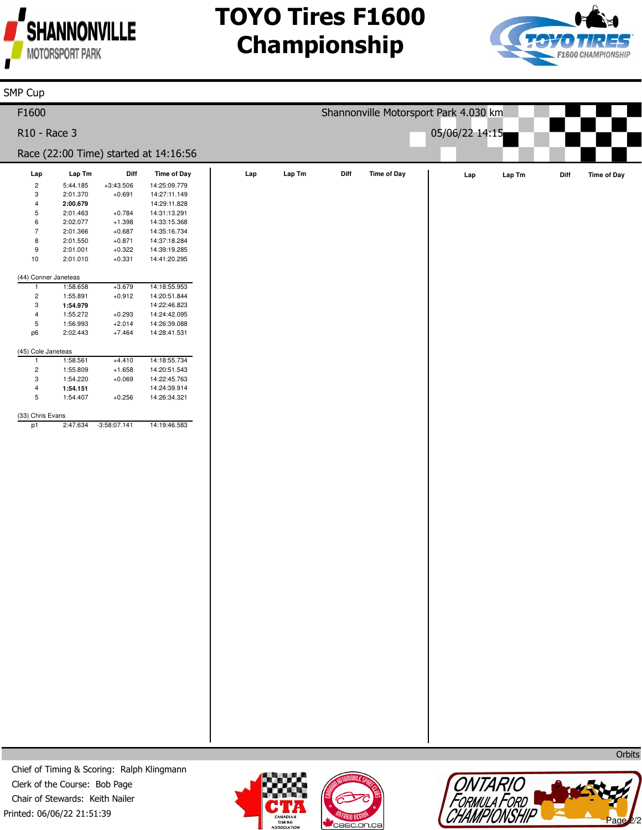

# **TOYO Tires F1600 Championship**



| SMP Cup                       |                                                                      |                      |                                       |     |        |      |                    |                                       |        |      |                    |
|-------------------------------|----------------------------------------------------------------------|----------------------|---------------------------------------|-----|--------|------|--------------------|---------------------------------------|--------|------|--------------------|
| F1600                         |                                                                      |                      |                                       |     |        |      |                    | Shannonville Motorsport Park 4.030 km |        |      |                    |
| R10 - Race 3                  |                                                                      |                      |                                       |     |        |      |                    |                                       |        |      |                    |
|                               |                                                                      |                      | Race (22:00 Time) started at 14:16:56 |     |        |      |                    |                                       |        |      |                    |
| Lap                           | $\ensuremath{\mathsf{Lap}}\xspace\, \ensuremath{\mathsf{Tm}}\xspace$ | Diff                 | Time of Day                           | Lap | Lap Tm | Diff | <b>Time of Day</b> | Lap                                   | Lap Tm | Diff | <b>Time of Day</b> |
| $\overline{c}$                | 5:44.185                                                             | $+3:43.506$          | 14:25:09.779                          |     |        |      |                    |                                       |        |      |                    |
| 3                             | 2:01.370                                                             | $+0.691$             | 14:27:11.149                          |     |        |      |                    |                                       |        |      |                    |
| $\overline{4}$                | 2:00.679                                                             |                      | 14:29:11.828                          |     |        |      |                    |                                       |        |      |                    |
| $\,$ 5 $\,$                   | 2:01.463                                                             | $+0.784$             | 14:31:13.291                          |     |        |      |                    |                                       |        |      |                    |
| $\,6\,$                       | 2:02.077                                                             | $+1.398$             | 14:33:15.368                          |     |        |      |                    |                                       |        |      |                    |
| $\sqrt{7}$                    | 2:01.366                                                             | $+0.687$             | 14:35:16.734                          |     |        |      |                    |                                       |        |      |                    |
| 8                             | 2:01.550                                                             | $+0.871$             | 14:37:18.284                          |     |        |      |                    |                                       |        |      |                    |
| 9<br>10                       | 2:01.001<br>2:01.010                                                 | $+0.322$<br>$+0.331$ | 14:39:19.285                          |     |        |      |                    |                                       |        |      |                    |
|                               |                                                                      |                      | 14:41:20.295                          |     |        |      |                    |                                       |        |      |                    |
| (44) Conner Janeteas          |                                                                      |                      |                                       |     |        |      |                    |                                       |        |      |                    |
| $\mathbf{1}$                  | 1:58.658                                                             | $+3.679$             | 14:18:55.953                          |     |        |      |                    |                                       |        |      |                    |
| $\overline{c}$                | 1:55.891                                                             | $+0.912$             | 14:20:51.844                          |     |        |      |                    |                                       |        |      |                    |
| 3                             | 1:54.979                                                             |                      | 14:22:46.823                          |     |        |      |                    |                                       |        |      |                    |
| $\overline{4}$<br>$\mathbf 5$ | 1:55.272                                                             | $+0.293$             | 14:24:42.095<br>14:26:39.088          |     |        |      |                    |                                       |        |      |                    |
| p6                            | 1:56.993<br>2:02.443                                                 | $+2.014$<br>$+7.464$ | 14:28:41.531                          |     |        |      |                    |                                       |        |      |                    |
|                               |                                                                      |                      |                                       |     |        |      |                    |                                       |        |      |                    |
| (45) Cole Janeteas            |                                                                      |                      |                                       |     |        |      |                    |                                       |        |      |                    |
| $\mathbf{1}$                  | 1:58.561                                                             | $+4.410$             | 14:18:55.734                          |     |        |      |                    |                                       |        |      |                    |
| $\mathbf 2$                   | 1:55.809                                                             | $+1.658$             | 14:20:51.543                          |     |        |      |                    |                                       |        |      |                    |
| 3                             | 1:54.220                                                             | $+0.069$             | 14:22:45.763                          |     |        |      |                    |                                       |        |      |                    |
| $\overline{4}$<br>$\mathbf 5$ | 1:54.151<br>1:54.407                                                 |                      | 14:24:39.914<br>14:26:34.321          |     |        |      |                    |                                       |        |      |                    |
|                               |                                                                      | $+0.256$             |                                       |     |        |      |                    |                                       |        |      |                    |
| (33) Chris Evans              |                                                                      |                      |                                       |     |        |      |                    |                                       |        |      |                    |
| p1                            | 2:47.634                                                             | $-3:58:07.141$       | 14:19:46.583                          |     |        |      |                    |                                       |        |      |                    |
|                               |                                                                      |                      |                                       |     |        |      |                    |                                       |        |      |                    |
|                               |                                                                      |                      |                                       |     |        |      |                    |                                       |        |      |                    |
|                               |                                                                      |                      |                                       |     |        |      |                    |                                       |        |      |                    |
|                               |                                                                      |                      |                                       |     |        |      |                    |                                       |        |      |                    |
|                               |                                                                      |                      |                                       |     |        |      |                    |                                       |        |      |                    |
|                               |                                                                      |                      |                                       |     |        |      |                    |                                       |        |      |                    |
|                               |                                                                      |                      |                                       |     |        |      |                    |                                       |        |      |                    |
|                               |                                                                      |                      |                                       |     |        |      |                    |                                       |        |      |                    |
|                               |                                                                      |                      |                                       |     |        |      |                    |                                       |        |      |                    |
|                               |                                                                      |                      |                                       |     |        |      |                    |                                       |        |      |                    |
|                               |                                                                      |                      |                                       |     |        |      |                    |                                       |        |      |                    |
|                               |                                                                      |                      |                                       |     |        |      |                    |                                       |        |      |                    |
|                               |                                                                      |                      |                                       |     |        |      |                    |                                       |        |      |                    |
|                               |                                                                      |                      |                                       |     |        |      |                    |                                       |        |      |                    |
|                               |                                                                      |                      |                                       |     |        |      |                    |                                       |        |      |                    |
|                               |                                                                      |                      |                                       |     |        |      |                    |                                       |        |      |                    |
|                               |                                                                      |                      |                                       |     |        |      |                    |                                       |        |      |                    |
|                               |                                                                      |                      |                                       |     |        |      |                    |                                       |        |      |                    |
|                               |                                                                      |                      |                                       |     |        |      |                    |                                       |        |      |                    |
|                               |                                                                      |                      |                                       |     |        |      |                    |                                       |        |      |                    |
|                               |                                                                      |                      |                                       |     |        |      |                    |                                       |        |      |                    |
|                               |                                                                      |                      |                                       |     |        |      |                    |                                       |        |      |                    |
|                               |                                                                      |                      |                                       |     |        |      |                    |                                       |        |      |                    |
|                               |                                                                      |                      |                                       |     |        |      |                    |                                       |        |      |                    |
|                               |                                                                      |                      |                                       |     |        |      |                    |                                       |        |      |                    |
|                               |                                                                      |                      |                                       |     |        |      |                    |                                       |        |      |                    |
|                               |                                                                      |                      |                                       |     |        |      |                    |                                       |        |      |                    |
|                               |                                                                      |                      |                                       |     |        |      |                    |                                       |        |      |                    |
|                               |                                                                      |                      |                                       |     |        |      |                    |                                       |        |      |                    |
|                               |                                                                      |                      |                                       |     |        |      |                    |                                       |        |      |                    |
|                               |                                                                      |                      |                                       |     |        |      |                    |                                       |        |      |                    |
|                               |                                                                      |                      |                                       |     |        |      |                    |                                       |        |      |                    |
|                               |                                                                      |                      |                                       |     |        |      |                    |                                       |        |      |                    |
|                               |                                                                      |                      |                                       |     |        |      |                    |                                       |        |      |                    |







**Orbits**